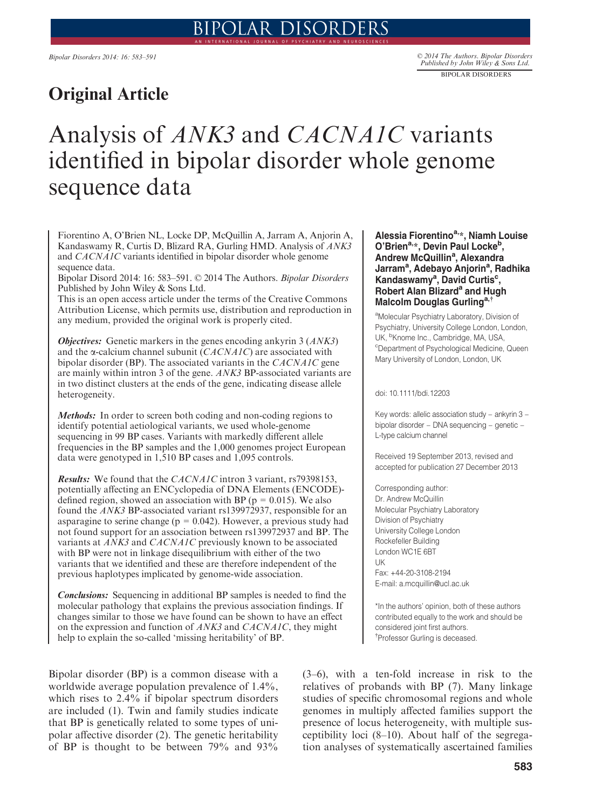## Original Article

# Analysis of ANK3 and CACNA1C variants identified in bipolar disorder whole genome sequence data

Fiorentino A, O'Brien NL, Locke DP, McQuillin A, Jarram A, Anjorin A, Kandaswamy R, Curtis D, Blizard RA, Gurling HMD. Analysis of ANK3 and CACNA1C variants identified in bipolar disorder whole genome sequence data.

Bipolar Disord 2014: 16: 583–591. © 2014 The Authors. Bipolar Disorders Published by John Wiley & Sons Ltd.

This is an open access article under the terms of the Creative Commons Attribution License, which permits use, distribution and reproduction in any medium, provided the original work is properly cited.

*Objectives:* Genetic markers in the genes encoding ankyrin 3 (ANK3) and the  $\alpha$ -calcium channel subunit (*CACNA1C*) are associated with bipolar disorder (BP). The associated variants in the CACNA1C gene are mainly within intron 3 of the gene. ANK3 BP-associated variants are in two distinct clusters at the ends of the gene, indicating disease allele heterogeneity.

Methods: In order to screen both coding and non-coding regions to identify potential aetiological variants, we used whole-genome sequencing in 99 BP cases. Variants with markedly different allele frequencies in the BP samples and the 1,000 genomes project European data were genotyped in 1,510 BP cases and 1,095 controls.

Results: We found that the CACNA1C intron 3 variant, rs79398153, potentially affecting an ENCyclopedia of DNA Elements (ENCODE) defined region, showed an association with BP ( $p = 0.015$ ). We also found the ANK3 BP-associated variant rs139972937, responsible for an asparagine to serine change ( $p = 0.042$ ). However, a previous study had not found support for an association between rs139972937 and BP. The variants at ANK3 and CACNA1C previously known to be associated with BP were not in linkage disequilibrium with either of the two variants that we identified and these are therefore independent of the previous haplotypes implicated by genome-wide association.

Conclusions: Sequencing in additional BP samples is needed to find the molecular pathology that explains the previous association findings. If changes similar to those we have found can be shown to have an effect on the expression and function of ANK3 and CACNA1C, they might help to explain the so-called 'missing heritability' of BP.

Bipolar disorder (BP) is a common disease with a worldwide average population prevalence of 1.4%, which rises to 2.4% if bipolar spectrum disorders are included (1). Twin and family studies indicate that BP is genetically related to some types of unipolar affective disorder (2). The genetic heritability of BP is thought to be between 79% and 93% Alessia Fiorentino<sup>a,\*</sup>, Niamh Louise O'Brien<sup>a,\*</sup>, Devin Paul Locke<sup>b</sup>, Andrew McQuillin<sup>a</sup>, Alexandra Jarram<sup>a</sup>, Adebayo Anjorin<sup>a</sup>, Radhika Kandaswamy<sup>a</sup>, David Curtis<sup>c</sup>, Robert Alan Blizard<sup>a</sup> and Hugh Malcolm Douglas Gurling<sup>a,†</sup>

aMolecular Psychiatry Laboratory, Division of Psychiatry, University College London, London, UK, <sup>b</sup>Knome Inc., Cambridge, MA, USA, c Department of Psychological Medicine, Queen Mary University of London, London, UK

#### doi: 10.1111/bdi.12203

Key words: allelic association study – ankyrin 3 – bipolar disorder – DNA sequencing – genetic – L-type calcium channel

Received 19 September 2013, revised and accepted for publication 27 December 2013

Corresponding author: Dr. Andrew McQuillin Molecular Psychiatry Laboratory Division of Psychiatry University College London Rockefeller Building London WC1E 6BT UK Fax: +44-20-3108-2194 E-mail: a.mcquillin@ucl.ac.uk

\*In the authors' opinion, both of these authors contributed equally to the work and should be considered joint first authors. † Professor Gurling is deceased.

(3–6), with a ten-fold increase in risk to the relatives of probands with BP (7). Many linkage studies of specific chromosomal regions and whole genomes in multiply affected families support the presence of locus heterogeneity, with multiple susceptibility loci (8–10). About half of the segregation analyses of systematically ascertained families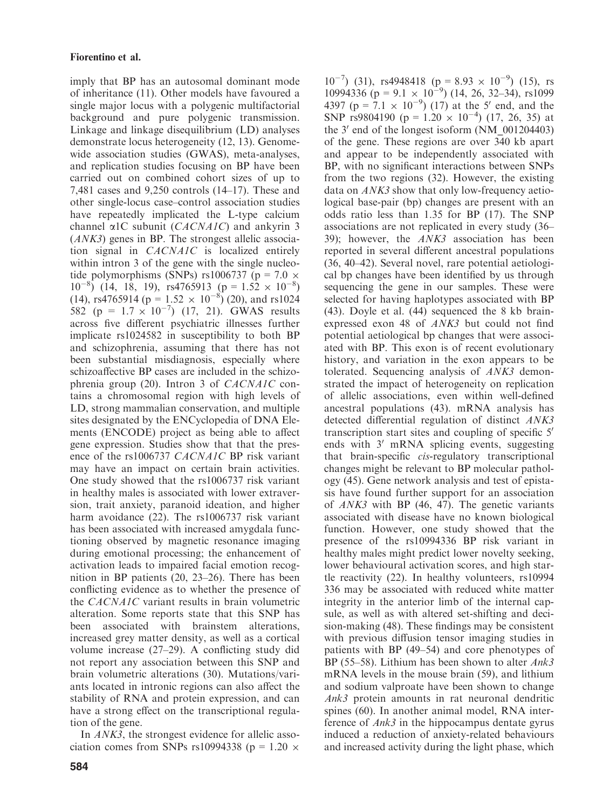imply that BP has an autosomal dominant mode of inheritance (11). Other models have favoured a single major locus with a polygenic multifactorial background and pure polygenic transmission. Linkage and linkage disequilibrium (LD) analyses demonstrate locus heterogeneity (12, 13). Genomewide association studies (GWAS), meta-analyses, and replication studies focusing on BP have been carried out on combined cohort sizes of up to 7,481 cases and 9,250 controls (14–17). These and other single-locus case–control association studies have repeatedly implicated the L-type calcium channel  $\alpha$ 1C subunit (*CACNA1C*) and ankyrin 3 (ANK3) genes in BP. The strongest allelic association signal in CACNA1C is localized entirely within intron 3 of the gene with the single nucleotide polymorphisms (SNPs) rs1006737 (p = 7.0  $\times$  $10^{-8}$ ) (14, 18, 19), rs4765913 (p = 1.52  $\times$  10<sup>-8</sup>) (14), rs4765914 ( $p = 1.52 \times 10^{-8}$ ) (20), and rs1024 582 (p =  $1.7 \times 10^{-7}$ ) (17, 21). GWAS results across five different psychiatric illnesses further implicate rs1024582 in susceptibility to both BP and schizophrenia, assuming that there has not been substantial misdiagnosis, especially where schizoaffective BP cases are included in the schizophrenia group (20). Intron 3 of CACNA1C contains a chromosomal region with high levels of LD, strong mammalian conservation, and multiple sites designated by the ENCyclopedia of DNA Elements (ENCODE) project as being able to affect gene expression. Studies show that that the presence of the rs1006737 CACNA1C BP risk variant may have an impact on certain brain activities. One study showed that the rs1006737 risk variant in healthy males is associated with lower extraversion, trait anxiety, paranoid ideation, and higher harm avoidance (22). The rs1006737 risk variant has been associated with increased amygdala functioning observed by magnetic resonance imaging during emotional processing; the enhancement of activation leads to impaired facial emotion recognition in BP patients (20, 23–26). There has been conflicting evidence as to whether the presence of the CACNA1C variant results in brain volumetric alteration. Some reports state that this SNP has been associated with brainstem alterations, increased grey matter density, as well as a cortical volume increase (27–29). A conflicting study did not report any association between this SNP and brain volumetric alterations (30). Mutations/variants located in intronic regions can also affect the stability of RNA and protein expression, and can have a strong effect on the transcriptional regulation of the gene.

In ANK3, the strongest evidence for allelic association comes from SNPs rs10994338 ( $p = 1.20 \times$ 

 $10^{-7}$ ) (31), rs4948418 (p = 8.93  $\times$  10<sup>-9</sup>) (15), rs 10994336 ( $p = 9.1 \times 10^{-9}$ ) (14, 26, 32–34), rs1099 4397 ( $p = 7.1 \times 10^{-9}$ ) (17) at the 5' end, and the SNP rs9804190 ( $p = 1.20 \times 10^{-4}$ ) (17, 26, 35) at the  $3'$  end of the longest isoform (NM  $001204403$ ) of the gene. These regions are over 340 kb apart and appear to be independently associated with BP, with no significant interactions between SNPs from the two regions (32). However, the existing data on ANK3 show that only low-frequency aetiological base-pair (bp) changes are present with an odds ratio less than 1.35 for BP (17). The SNP associations are not replicated in every study (36– 39); however, the ANK3 association has been reported in several different ancestral populations (36, 40–42). Several novel, rare potential aetiological bp changes have been identified by us through sequencing the gene in our samples. These were selected for having haplotypes associated with BP (43). Doyle et al. (44) sequenced the 8 kb brainexpressed exon 48 of ANK3 but could not find potential aetiological bp changes that were associated with BP. This exon is of recent evolutionary history, and variation in the exon appears to be tolerated. Sequencing analysis of ANK3 demonstrated the impact of heterogeneity on replication of allelic associations, even within well-defined ancestral populations (43). mRNA analysis has detected differential regulation of distinct ANK3 transcription start sites and coupling of specific  $5<sup>′</sup>$ ends with  $3'$  mRNA splicing events, suggesting that brain-specific cis-regulatory transcriptional changes might be relevant to BP molecular pathology (45). Gene network analysis and test of epistasis have found further support for an association of ANK3 with BP (46, 47). The genetic variants associated with disease have no known biological function. However, one study showed that the presence of the rs10994336 BP risk variant in healthy males might predict lower novelty seeking, lower behavioural activation scores, and high startle reactivity (22). In healthy volunteers, rs10994 336 may be associated with reduced white matter integrity in the anterior limb of the internal capsule, as well as with altered set-shifting and decision-making (48). These findings may be consistent with previous diffusion tensor imaging studies in patients with BP (49–54) and core phenotypes of BP (55–58). Lithium has been shown to alter *Ank3* mRNA levels in the mouse brain (59), and lithium and sodium valproate have been shown to change Ank3 protein amounts in rat neuronal dendritic spines (60). In another animal model, RNA interference of Ank3 in the hippocampus dentate gyrus induced a reduction of anxiety-related behaviours and increased activity during the light phase, which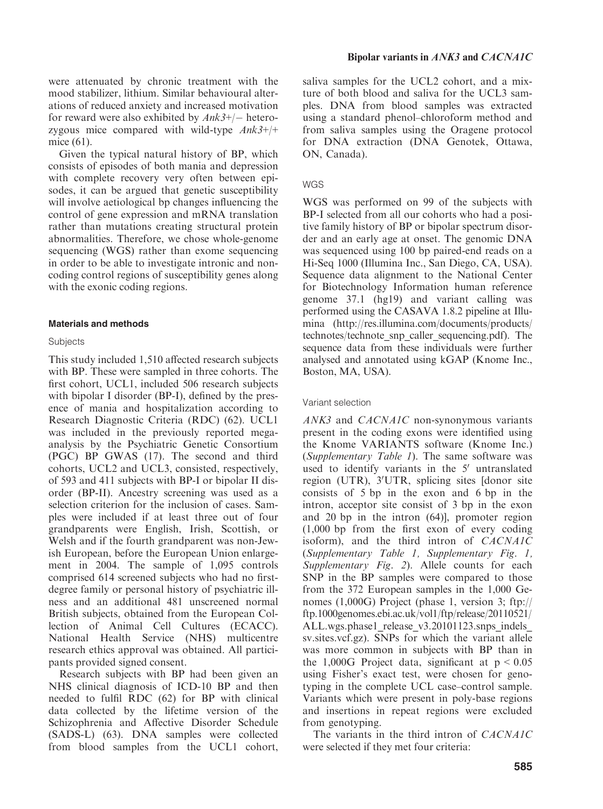were attenuated by chronic treatment with the mood stabilizer, lithium. Similar behavioural alterations of reduced anxiety and increased motivation for reward were also exhibited by  $Ank3+/-$  heterozygous mice compared with wild-type  $Ank3+/+$ mice (61).

Given the typical natural history of BP, which consists of episodes of both mania and depression with complete recovery very often between episodes, it can be argued that genetic susceptibility will involve aetiological bp changes influencing the control of gene expression and mRNA translation rather than mutations creating structural protein abnormalities. Therefore, we chose whole-genome sequencing (WGS) rather than exome sequencing in order to be able to investigate intronic and noncoding control regions of susceptibility genes along with the exonic coding regions.

### Materials and methods

### Subjects

This study included 1,510 affected research subjects with BP. These were sampled in three cohorts. The first cohort, UCL1, included 506 research subjects with bipolar I disorder (BP-I), defined by the presence of mania and hospitalization according to Research Diagnostic Criteria (RDC) (62). UCL1 was included in the previously reported megaanalysis by the Psychiatric Genetic Consortium (PGC) BP GWAS (17). The second and third cohorts, UCL2 and UCL3, consisted, respectively, of 593 and 411 subjects with BP-I or bipolar II disorder (BP-II). Ancestry screening was used as a selection criterion for the inclusion of cases. Samples were included if at least three out of four grandparents were English, Irish, Scottish, or Welsh and if the fourth grandparent was non-Jewish European, before the European Union enlargement in 2004. The sample of 1,095 controls comprised 614 screened subjects who had no firstdegree family or personal history of psychiatric illness and an additional 481 unscreened normal British subjects, obtained from the European Collection of Animal Cell Cultures (ECACC). National Health Service (NHS) multicentre research ethics approval was obtained. All participants provided signed consent.

Research subjects with BP had been given an NHS clinical diagnosis of ICD-10 BP and then needed to fulfil RDC (62) for BP with clinical data collected by the lifetime version of the Schizophrenia and Affective Disorder Schedule (SADS-L) (63). DNA samples were collected from blood samples from the UCL1 cohort, saliva samples for the UCL2 cohort, and a mixture of both blood and saliva for the UCL3 samples. DNA from blood samples was extracted using a standard phenol–chloroform method and from saliva samples using the Oragene protocol for DNA extraction (DNA Genotek, Ottawa, ON, Canada).

## WGS

WGS was performed on 99 of the subjects with BP-I selected from all our cohorts who had a positive family history of BP or bipolar spectrum disorder and an early age at onset. The genomic DNA was sequenced using 100 bp paired-end reads on a Hi-Seq 1000 (Illumina Inc., San Diego, CA, USA). Sequence data alignment to the National Center for Biotechnology Information human reference genome 37.1 (hg19) and variant calling was performed using the CASAVA 1.8.2 pipeline at Illumina (http://res.illumina.com/documents/products/ technotes/technote\_snp\_caller\_sequencing.pdf). The sequence data from these individuals were further analysed and annotated using kGAP (Knome Inc., Boston, MA, USA).

#### Variant selection

ANK3 and CACNA1C non-synonymous variants present in the coding exons were identified using the Knome VARIANTS software (Knome Inc.) (Supplementary Table 1). The same software was used to identify variants in the  $5'$  untranslated region (UTR), 3'UTR, splicing sites [donor site consists of 5 bp in the exon and 6 bp in the intron, acceptor site consist of 3 bp in the exon and 20 bp in the intron (64)], promoter region (1,000 bp from the first exon of every coding isoform), and the third intron of CACNA1C (Supplementary Table 1, Supplementary Fig. 1, Supplementary Fig. 2). Allele counts for each SNP in the BP samples were compared to those from the 372 European samples in the 1,000 Genomes (1,000G) Project (phase 1, version 3; ftp:// ftp.1000genomes.ebi.ac.uk/vol1/ftp/release/20110521/ ALL.wgs.phase1\_release\_v3.20101123.snps\_indels\_ sv.sites.vcf.gz). SNPs for which the variant allele was more common in subjects with BP than in the 1,000G Project data, significant at  $p < 0.05$ using Fisher's exact test, were chosen for genotyping in the complete UCL case–control sample. Variants which were present in poly-base regions and insertions in repeat regions were excluded from genotyping.

The variants in the third intron of CACNA1C were selected if they met four criteria: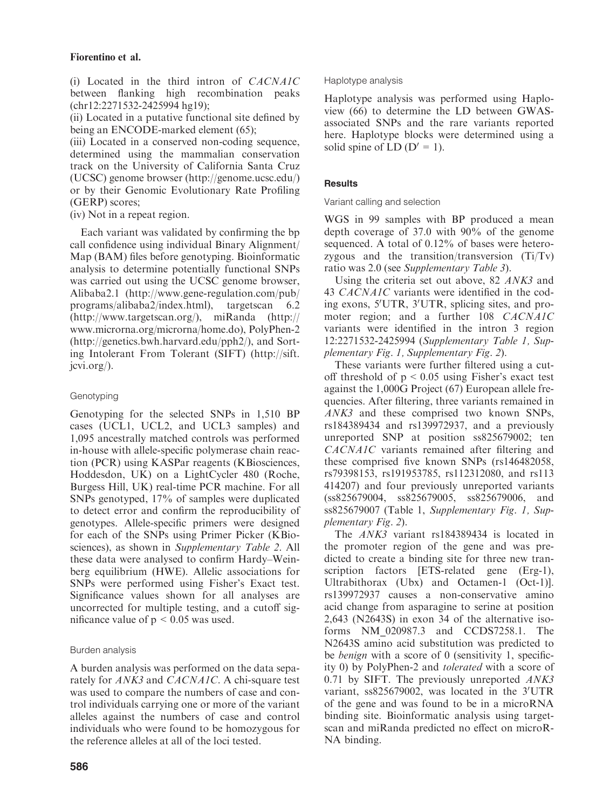(i) Located in the third intron of CACNA1C between flanking high recombination peaks (chr12:2271532-2425994 hg19);

(ii) Located in a putative functional site defined by being an ENCODE-marked element (65);

(iii) Located in a conserved non-coding sequence, determined using the mammalian conservation track on the University of California Santa Cruz (UCSC) genome browser (http://genome.ucsc.edu/) or by their Genomic Evolutionary Rate Profiling (GERP) scores;

(iv) Not in a repeat region.

Each variant was validated by confirming the bp call confidence using individual Binary Alignment/ Map (BAM) files before genotyping. Bioinformatic analysis to determine potentially functional SNPs was carried out using the UCSC genome browser, Alibaba2.1 (http://www.gene-regulation.com/pub/ programs/alibaba2/index.html), targetscan 6.2 (http://www.targetscan.org/), miRanda (http:// www.microrna.org/microrna/home.do), PolyPhen-2 (http://genetics.bwh.harvard.edu/pph2/), and Sorting Intolerant From Tolerant (SIFT) (http://sift. jcvi.org/).

## **Genotyping**

Genotyping for the selected SNPs in 1,510 BP cases (UCL1, UCL2, and UCL3 samples) and 1,095 ancestrally matched controls was performed in-house with allele-specific polymerase chain reaction (PCR) using KASPar reagents (KBiosciences, Hoddesdon, UK) on a LightCycler 480 (Roche, Burgess Hill, UK) real-time PCR machine. For all SNPs genotyped, 17% of samples were duplicated to detect error and confirm the reproducibility of genotypes. Allele-specific primers were designed for each of the SNPs using Primer Picker (KBiosciences), as shown in Supplementary Table 2. All these data were analysed to confirm Hardy–Weinberg equilibrium (HWE). Allelic associations for SNPs were performed using Fisher's Exact test. Significance values shown for all analyses are uncorrected for multiple testing, and a cutoff significance value of  $p < 0.05$  was used.

## Burden analysis

A burden analysis was performed on the data separately for ANK3 and CACNA1C. A chi-square test was used to compare the numbers of case and control individuals carrying one or more of the variant alleles against the numbers of case and control individuals who were found to be homozygous for the reference alleles at all of the loci tested.

Haplotype analysis

Haplotype analysis was performed using Haploview (66) to determine the LD between GWASassociated SNPs and the rare variants reported here. Haplotype blocks were determined using a solid spine of LD  $(D' = 1)$ .

## **Results**

## Variant calling and selection

WGS in 99 samples with BP produced a mean depth coverage of 37.0 with 90% of the genome sequenced. A total of 0.12% of bases were heterozygous and the transition/transversion (Ti/Tv) ratio was 2.0 (see Supplementary Table 3).

Using the criteria set out above, 82 ANK3 and 43 CACNA1C variants were identified in the coding exons, 5'UTR, 3'UTR, splicing sites, and promoter region; and a further 108 CACNA1C variants were identified in the intron 3 region 12:2271532-2425994 (Supplementary Table 1, Supplementary Fig. 1, Supplementary Fig. 2).

These variants were further filtered using a cutoff threshold of  $p < 0.05$  using Fisher's exact test against the 1,000G Project (67) European allele frequencies. After filtering, three variants remained in ANK3 and these comprised two known SNPs, rs184389434 and rs139972937, and a previously unreported SNP at position ss825679002; ten CACNA1C variants remained after filtering and these comprised five known SNPs (rs146482058, rs79398153, rs191953785, rs112312080, and rs113 414207) and four previously unreported variants (ss825679004, ss825679005, ss825679006, and ss825679007 (Table 1, Supplementary Fig. 1, Supplementary Fig. 2).

The ANK3 variant rs184389434 is located in the promoter region of the gene and was predicted to create a binding site for three new transcription factors [ETS-related gene (Erg-1), Ultrabithorax (Ubx) and Octamen-1 (Oct-1)]. rs139972937 causes a non-conservative amino acid change from asparagine to serine at position 2,643 (N2643S) in exon 34 of the alternative isoforms NM\_020987.3 and CCDS7258.1. The N2643S amino acid substitution was predicted to be *benign* with a score of 0 (sensitivity 1, specificity 0) by PolyPhen-2 and tolerated with a score of 0.71 by SIFT. The previously unreported ANK3 variant, ss825679002, was located in the 3'UTR of the gene and was found to be in a microRNA binding site. Bioinformatic analysis using targetscan and miRanda predicted no effect on microR-NA binding.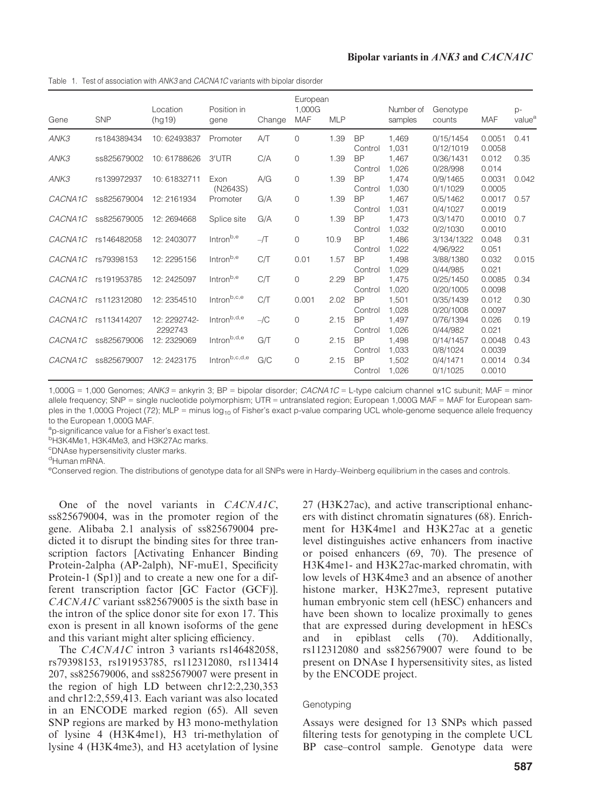Table 1. Test of association with ANK3 and CACNA1C variants with bipolar disorder

| Gene                 | <b>SNP</b>  | Location<br>(hg19)      | Position in<br>gene     | Change      | European<br>1,000G<br><b>MAF</b> | <b>MLP</b> |                                 | Number of<br>samples    | Genotype<br>counts                 | <b>MAF</b>               | $p-$<br>value <sup>a</sup> |
|----------------------|-------------|-------------------------|-------------------------|-------------|----------------------------------|------------|---------------------------------|-------------------------|------------------------------------|--------------------------|----------------------------|
| ANK3                 | rs184389434 | 10:62493837             | Promoter                | A/T         | $\mathbf 0$                      | 1.39       | <b>BP</b>                       | 1.469                   | 0/15/1454                          | 0.0051                   | 0.41                       |
| ANK3                 | ss825679002 | 10:61788626             | $3'$ UTR                | C/A         | 0                                | 1.39       | Control<br><b>BP</b><br>Control | 1.031<br>1.467<br>1.026 | 0/12/1019<br>0/36/1431<br>0/28/998 | 0.0058<br>0.012<br>0.014 | 0.35                       |
| ANK3                 | rs139972937 | 10: 61832711            | Exon<br>(N2643S)        | A/G         | $\overline{0}$                   | 1.39       | <b>BP</b><br>Control            | 1.474<br>1.030          | 0/9/1465<br>0/1/1029               | 0.0031<br>0.0005         | 0.042                      |
| CACNA <sub>1</sub> C | ss825679004 | 12:2161934              | Promoter                | G/A         | $\mathbf 0$                      | 1.39       | <b>BP</b><br>Control            | 1.467<br>1.031          | 0/5/1462<br>0/4/1027               | 0.0017<br>0.0019         | 0.57                       |
| CACNA <sub>1</sub> C | ss825679005 | 12:2694668              | Splice site             | G/A         | $\mathbf 0$                      | 1.39       | <b>BP</b><br>Control            | 1.473<br>1,032          | 0/3/1470<br>0/2/1030               | 0.0010<br>0.0010         | 0.7                        |
| CACNA <sub>1</sub> C | rs146482058 | 12:2403077              | Intron <sup>b,e</sup>   | $-\sqrt{T}$ | $\mathbf 0$                      | 10.9       | <b>BP</b><br>Control            | 1.486<br>1,022          | 3/134/1322<br>4/96/922             | 0.048<br>0.051           | 0.31                       |
| CACNA <sub>1</sub> C | rs79398153  | 12:2295156              | Intron <sup>b,e</sup>   | C/T         | 0.01                             | 1.57       | <b>BP</b><br>Control            | 1.498<br>1.029          | 3/88/1380<br>0/44/985              | 0.032<br>0.021           | 0.015                      |
| CACNA <sub>1</sub> C | rs191953785 | 12: 2425097             | Intron <sup>b,e</sup>   | C/T         | $\mathbf 0$                      | 2.29       | <b>BP</b><br>Control            | 1.475<br>1.020          | 0/25/1450<br>0/20/1005             | 0.0085<br>0.0098         | 0.34                       |
| CACNA1C              | rs112312080 | 12: 2354510             | Intron <sup>b,c,e</sup> | C/T         | 0.001                            | 2.02       | <b>BP</b><br>Control            | 1.501<br>1,028          | 0/35/1439<br>0/20/1008             | 0.012<br>0.0097          | 0.30                       |
| CACNA <sub>1</sub> C | rs113414207 | 12: 2292742-<br>2292743 | $Intron^{b,d,e}$        | $-/C$       | $\mathbf 0$                      | 2.15       | <b>BP</b><br>Control            | 1,497<br>1.026          | 0/76/1394<br>0/44/982              | 0.026<br>0.021           | 0.19                       |
| CACNA <sub>1</sub> C | ss825679006 | 12: 2329069             | $Intron^{b,d,e}$        | G/T         | $\mathbf 0$                      | 2.15       | <b>BP</b><br>Control            | 1.498<br>1.033          | 0/14/1457<br>0/8/1024              | 0.0048<br>0.0039         | 0.43                       |
| CACNA <sub>1</sub> C | ss825679007 | 12: 2423175             | Intronb,c,d,e           | G/C         | $\overline{0}$                   | 2.15       | <b>BP</b><br>Control            | 1,502<br>1.026          | 0/4/1471<br>0/1/1025               | 0.0014<br>0.0010         | 0.34                       |

1,000G = 1,000 Genomes;  $ANK3$  = ankyrin 3; BP = bipolar disorder;  $CACNA$   $IC$  = L-type calcium channel  $\alpha$ 1C subunit; MAF = minor allele frequency; SNP = single nucleotide polymorphism; UTR = untranslated region; European 1,000G MAF = MAF for European samples in the 1,000G Project (72); MLP = minus  $log_{10}$  of Fisher's exact p-value comparing UCL whole-genome sequence allele frequency to the European 1,000G MAF.

<sup>a</sup>p-significance value for a Fisher's exact test.

b H3K4Me1, H3K4Me3, and H3K27Ac marks.

c DNAse hypersensitivity cluster marks.

d Human mRNA.

e Conserved region. The distributions of genotype data for all SNPs were in Hardy–Weinberg equilibrium in the cases and controls.

One of the novel variants in CACNA1C, ss825679004, was in the promoter region of the gene. Alibaba 2.1 analysis of ss825679004 predicted it to disrupt the binding sites for three transcription factors [Activating Enhancer Binding Protein-2alpha (AP-2alph), NF-muE1, Specificity Protein-1 (Sp1)] and to create a new one for a different transcription factor [GC Factor (GCF)]. CACNA1C variant ss825679005 is the sixth base in the intron of the splice donor site for exon 17. This exon is present in all known isoforms of the gene and this variant might alter splicing efficiency.

The *CACNA1C* intron 3 variants rs146482058, rs79398153, rs191953785, rs112312080, rs113414 207, ss825679006, and ss825679007 were present in the region of high LD between chr12:2,230,353 and chr12:2,559,413. Each variant was also located in an ENCODE marked region (65). All seven SNP regions are marked by H3 mono-methylation of lysine 4 (H3K4me1), H3 tri-methylation of lysine 4 (H3K4me3), and H3 acetylation of lysine 27 (H3K27ac), and active transcriptional enhancers with distinct chromatin signatures (68). Enrichment for H3K4me1 and H3K27ac at a genetic level distinguishes active enhancers from inactive or poised enhancers (69, 70). The presence of H3K4me1- and H3K27ac-marked chromatin, with low levels of H3K4me3 and an absence of another histone marker, H3K27me3, represent putative human embryonic stem cell (hESC) enhancers and have been shown to localize proximally to genes that are expressed during development in hESCs and in epiblast cells (70). Additionally, rs112312080 and ss825679007 were found to be present on DNAse I hypersensitivity sites, as listed by the ENCODE project.

## Genotyping

Assays were designed for 13 SNPs which passed filtering tests for genotyping in the complete UCL BP case–control sample. Genotype data were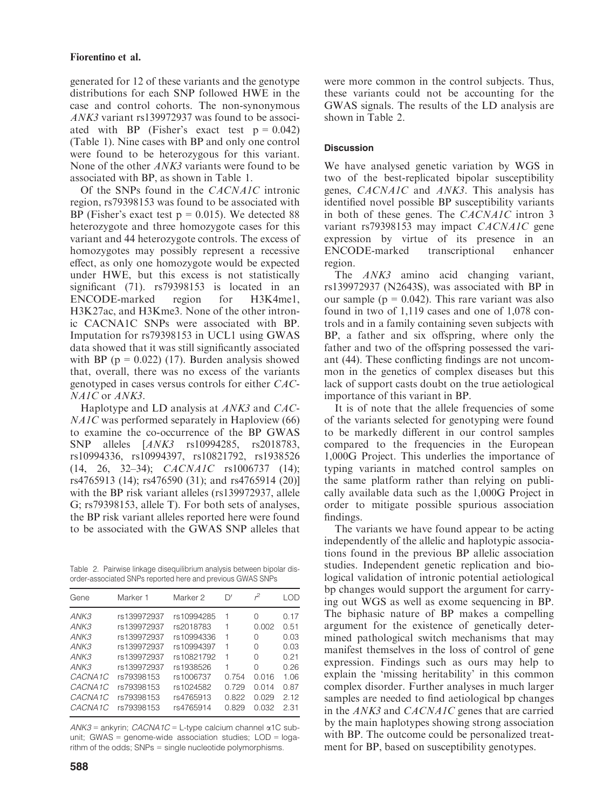generated for 12 of these variants and the genotype distributions for each SNP followed HWE in the case and control cohorts. The non-synonymous ANK3 variant rs139972937 was found to be associated with BP (Fisher's exact test  $p = 0.042$ ) (Table 1). Nine cases with BP and only one control were found to be heterozygous for this variant. None of the other ANK3 variants were found to be associated with BP, as shown in Table 1.

Of the SNPs found in the CACNA1C intronic region, rs79398153 was found to be associated with BP (Fisher's exact test  $p = 0.015$ ). We detected 88 heterozygote and three homozygote cases for this variant and 44 heterozygote controls. The excess of homozygotes may possibly represent a recessive effect, as only one homozygote would be expected under HWE, but this excess is not statistically significant (71). rs79398153 is located in an ENCODE-marked region for H3K4me1, H3K27ac, and H3Kme3. None of the other intronic CACNA1C SNPs were associated with BP. Imputation for rs79398153 in UCL1 using GWAS data showed that it was still significantly associated with BP ( $p = 0.022$ ) (17). Burden analysis showed that, overall, there was no excess of the variants genotyped in cases versus controls for either CAC-NA1C or ANK3.

Haplotype and LD analysis at ANK3 and CAC-NA1C was performed separately in Haploview (66) to examine the co-occurrence of the BP GWAS SNP alleles [ANK3 rs10994285, rs2018783, rs10994336, rs10994397, rs10821792, rs1938526 (14, 26, 32–34); CACNA1C rs1006737 (14); rs4765913 (14); rs476590 (31); and rs4765914 (20)] with the BP risk variant alleles (rs139972937, allele G; rs79398153, allele T). For both sets of analyses, the BP risk variant alleles reported here were found to be associated with the GWAS SNP alleles that

Table 2. Pairwise linkage disequilibrium analysis between bipolar disorder-associated SNPs reported here and previous GWAS SNPs

| Gene                 | Marker <sub>1</sub> | Marker <sub>2</sub> | D′    | $\tilde{\epsilon}$ | I OD |
|----------------------|---------------------|---------------------|-------|--------------------|------|
| ANK3                 | rs139972937         | rs10994285          |       | O                  | 0.17 |
| ANK3                 | rs139972937         | rs2018783           |       | 0.002              | 0.51 |
| ANK3                 | rs139972937         | rs10994336          |       | Ω                  | 0.03 |
| ANK3                 | rs139972937         | rs10994397          |       | O                  | 0.03 |
| ANK3                 | rs139972937         | rs10821792          | 1     | O                  | 0.21 |
| ANK3                 | rs139972937         | rs1938526           |       | O                  | 0.26 |
| CACNA <sub>1</sub> C | rs79398153          | rs1006737           | 0.754 | 0.016              | 1.06 |
| CACNA <sub>1</sub> C | rs79398153          | rs1024582           | 0.729 | 0.014              | 0.87 |
| CACNA1C              | rs79398153          | rs4765913           | 0.822 | 0.029              | 2.12 |
| CACNA <sub>1</sub> C | rs79398153          | rs4765914           | በ 829 | 0.032              | 2.31 |

 $ANK3$  = ankyrin; CACNA1C = L-type calcium channel  $\alpha$ 1C subunit; GWAS = genome-wide association studies; LOD = logarithm of the odds; SNPs = single nucleotide polymorphisms.

were more common in the control subjects. Thus, these variants could not be accounting for the GWAS signals. The results of the LD analysis are shown in Table 2.

## **Discussion**

We have analysed genetic variation by WGS in two of the best-replicated bipolar susceptibility genes, CACNA1C and ANK3. This analysis has identified novel possible BP susceptibility variants in both of these genes. The CACNA1C intron 3 variant rs79398153 may impact CACNA1C gene expression by virtue of its presence in an ENCODE-marked transcriptional enhancer region.

The *ANK3* amino acid changing variant, rs139972937 (N2643S), was associated with BP in our sample ( $p = 0.042$ ). This rare variant was also found in two of 1,119 cases and one of 1,078 controls and in a family containing seven subjects with BP, a father and six offspring, where only the father and two of the offspring possessed the variant (44). These conflicting findings are not uncommon in the genetics of complex diseases but this lack of support casts doubt on the true aetiological importance of this variant in BP.

It is of note that the allele frequencies of some of the variants selected for genotyping were found to be markedly different in our control samples compared to the frequencies in the European 1,000G Project. This underlies the importance of typing variants in matched control samples on the same platform rather than relying on publically available data such as the 1,000G Project in order to mitigate possible spurious association findings.

The variants we have found appear to be acting independently of the allelic and haplotypic associations found in the previous BP allelic association studies. Independent genetic replication and biological validation of intronic potential aetiological bp changes would support the argument for carrying out WGS as well as exome sequencing in BP. The biphasic nature of BP makes a compelling argument for the existence of genetically determined pathological switch mechanisms that may manifest themselves in the loss of control of gene expression. Findings such as ours may help to explain the 'missing heritability' in this common complex disorder. Further analyses in much larger samples are needed to find aetiological bp changes in the ANK3 and CACNA1C genes that are carried by the main haplotypes showing strong association with BP. The outcome could be personalized treatment for BP, based on susceptibility genotypes.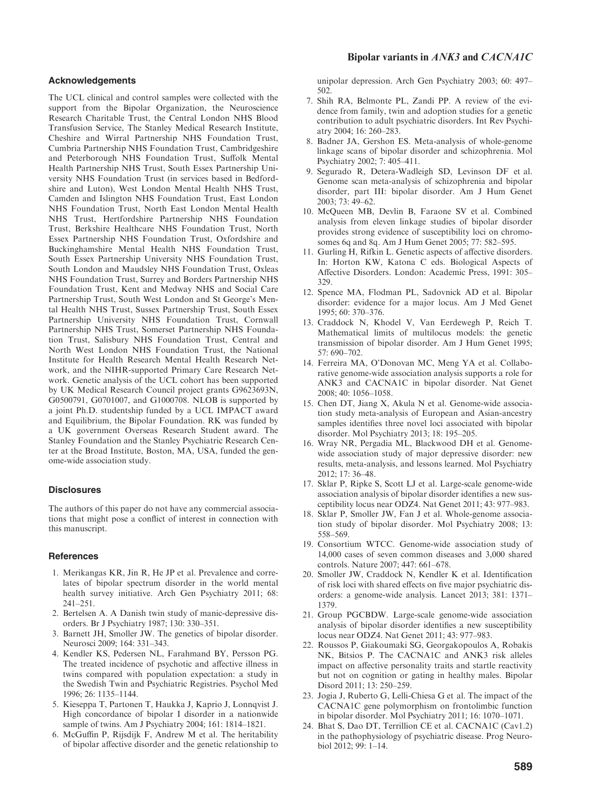#### Acknowledgements

The UCL clinical and control samples were collected with the support from the Bipolar Organization, the Neuroscience Research Charitable Trust, the Central London NHS Blood Transfusion Service, The Stanley Medical Research Institute, Cheshire and Wirral Partnership NHS Foundation Trust, Cumbria Partnership NHS Foundation Trust, Cambridgeshire and Peterborough NHS Foundation Trust, Suffolk Mental Health Partnership NHS Trust, South Essex Partnership University NHS Foundation Trust (in services based in Bedfordshire and Luton), West London Mental Health NHS Trust, Camden and Islington NHS Foundation Trust, East London NHS Foundation Trust, North East London Mental Health NHS Trust, Hertfordshire Partnership NHS Foundation Trust, Berkshire Healthcare NHS Foundation Trust, North Essex Partnership NHS Foundation Trust, Oxfordshire and Buckinghamshire Mental Health NHS Foundation Trust, South Essex Partnership University NHS Foundation Trust, South London and Maudsley NHS Foundation Trust, Oxleas NHS Foundation Trust, Surrey and Borders Partnership NHS Foundation Trust, Kent and Medway NHS and Social Care Partnership Trust, South West London and St George's Mental Health NHS Trust, Sussex Partnership Trust, South Essex Partnership University NHS Foundation Trust, Cornwall Partnership NHS Trust, Somerset Partnership NHS Foundation Trust, Salisbury NHS Foundation Trust, Central and North West London NHS Foundation Trust, the National Institute for Health Research Mental Health Research Network, and the NIHR-supported Primary Care Research Network. Genetic analysis of the UCL cohort has been supported by UK Medical Research Council project grants G9623693N, G0500791, G0701007, and G1000708. NLOB is supported by a joint Ph.D. studentship funded by a UCL IMPACT award and Equilibrium, the Bipolar Foundation. RK was funded by a UK government Overseas Research Student award. The Stanley Foundation and the Stanley Psychiatric Research Center at the Broad Institute, Boston, MA, USA, funded the genome-wide association study.

#### **Disclosures**

The authors of this paper do not have any commercial associations that might pose a conflict of interest in connection with this manuscript.

#### **References**

- 1. Merikangas KR, Jin R, He JP et al. Prevalence and correlates of bipolar spectrum disorder in the world mental health survey initiative. Arch Gen Psychiatry 2011; 68: 241–251.
- 2. Bertelsen A. A Danish twin study of manic-depressive disorders. Br J Psychiatry 1987; 130: 330–351.
- 3. Barnett JH, Smoller JW. The genetics of bipolar disorder. Neurosci 2009; 164: 331–343.
- 4. Kendler KS, Pedersen NL, Farahmand BY, Persson PG. The treated incidence of psychotic and affective illness in twins compared with population expectation: a study in the Swedish Twin and Psychiatric Registries. Psychol Med 1996; 26: 1135–1144.
- 5. Kieseppa T, Partonen T, Haukka J, Kaprio J, Lonnqvist J. High concordance of bipolar I disorder in a nationwide sample of twins. Am J Psychiatry 2004; 161: 1814–1821.
- 6. McGuffin P, Rijsdijk F, Andrew M et al. The heritability of bipolar affective disorder and the genetic relationship to

unipolar depression. Arch Gen Psychiatry 2003; 60: 497– 502.

- 7. Shih RA, Belmonte PL, Zandi PP. A review of the evidence from family, twin and adoption studies for a genetic contribution to adult psychiatric disorders. Int Rev Psychiatry 2004; 16: 260–283.
- 8. Badner JA, Gershon ES. Meta-analysis of whole-genome linkage scans of bipolar disorder and schizophrenia. Mol Psychiatry 2002; 7: 405–411.
- 9. Segurado R, Detera-Wadleigh SD, Levinson DF et al. Genome scan meta-analysis of schizophrenia and bipolar disorder, part III: bipolar disorder. Am J Hum Genet 2003; 73: 49–62.
- 10. McQueen MB, Devlin B, Faraone SV et al. Combined analysis from eleven linkage studies of bipolar disorder provides strong evidence of susceptibility loci on chromosomes 6q and 8q. Am J Hum Genet 2005; 77: 582–595.
- 11. Gurling H, Rifkin L. Genetic aspects of affective disorders. In: Horton KW, Katona C eds. Biological Aspects of Affective Disorders. London: Academic Press, 1991: 305– 329.
- 12. Spence MA, Flodman PL, Sadovnick AD et al. Bipolar disorder: evidence for a major locus. Am J Med Genet 1995; 60: 370–376.
- 13. Craddock N, Khodel V, Van Eerdewegh P, Reich T. Mathematical limits of multilocus models: the genetic transmission of bipolar disorder. Am J Hum Genet 1995; 57: 690–702.
- 14. Ferreira MA, O'Donovan MC, Meng YA et al. Collaborative genome-wide association analysis supports a role for ANK3 and CACNA1C in bipolar disorder. Nat Genet 2008; 40: 1056–1058.
- 15. Chen DT, Jiang X, Akula N et al. Genome-wide association study meta-analysis of European and Asian-ancestry samples identifies three novel loci associated with bipolar disorder. Mol Psychiatry 2013; 18: 195–205.
- 16. Wray NR, Pergadia ML, Blackwood DH et al. Genomewide association study of major depressive disorder: new results, meta-analysis, and lessons learned. Mol Psychiatry 2012; 17: 36–48.
- 17. Sklar P, Ripke S, Scott LJ et al. Large-scale genome-wide association analysis of bipolar disorder identifies a new susceptibility locus near ODZ4. Nat Genet 2011; 43: 977–983.
- 18. Sklar P, Smoller JW, Fan J et al. Whole-genome association study of bipolar disorder. Mol Psychiatry 2008; 13: 558–569.
- 19. Consortium WTCC. Genome-wide association study of 14,000 cases of seven common diseases and 3,000 shared controls. Nature 2007; 447: 661–678.
- 20. Smoller JW, Craddock N, Kendler K et al. Identification of risk loci with shared effects on five major psychiatric disorders: a genome-wide analysis. Lancet 2013; 381: 1371– 1379.
- 21. Group PGCBDW. Large-scale genome-wide association analysis of bipolar disorder identifies a new susceptibility locus near ODZ4. Nat Genet 2011; 43: 977–983.
- 22. Roussos P, Giakoumaki SG, Georgakopoulos A, Robakis NK, Bitsios P. The CACNA1C and ANK3 risk alleles impact on affective personality traits and startle reactivity but not on cognition or gating in healthy males. Bipolar Disord 2011; 13: 250–259.
- 23. Jogia J, Ruberto G, Lelli-Chiesa G et al. The impact of the CACNA1C gene polymorphism on frontolimbic function in bipolar disorder. Mol Psychiatry 2011; 16: 1070–1071.
- 24. Bhat S, Dao DT, Terrillion CE et al. CACNA1C (Cav1.2) in the pathophysiology of psychiatric disease. Prog Neurobiol 2012; 99: 1–14.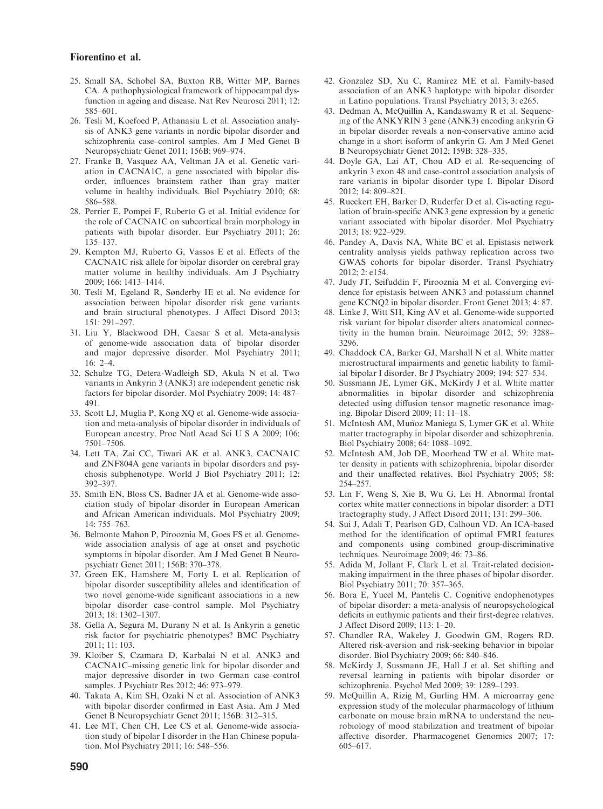- 25. Small SA, Schobel SA, Buxton RB, Witter MP, Barnes CA. A pathophysiological framework of hippocampal dysfunction in ageing and disease. Nat Rev Neurosci 2011; 12: 585–601.
- 26. Tesli M, Koefoed P, Athanasiu L et al. Association analysis of ANK3 gene variants in nordic bipolar disorder and schizophrenia case–control samples. Am J Med Genet B Neuropsychiatr Genet 2011; 156B: 969–974.
- 27. Franke B, Vasquez AA, Veltman JA et al. Genetic variation in CACNA1C, a gene associated with bipolar disorder, influences brainstem rather than gray matter volume in healthy individuals. Biol Psychiatry 2010; 68: 586–588.
- 28. Perrier E, Pompei F, Ruberto G et al. Initial evidence for the role of CACNA1C on subcortical brain morphology in patients with bipolar disorder. Eur Psychiatry 2011; 26: 135–137.
- 29. Kempton MJ, Ruberto G, Vassos E et al. Effects of the CACNA1C risk allele for bipolar disorder on cerebral gray matter volume in healthy individuals. Am J Psychiatry 2009; 166: 1413–1414.
- 30. Tesli M, Egeland R, Sønderby IE et al. No evidence for association between bipolar disorder risk gene variants and brain structural phenotypes. J Affect Disord 2013; 151: 291–297.
- 31. Liu Y, Blackwood DH, Caesar S et al. Meta-analysis of genome-wide association data of bipolar disorder and major depressive disorder. Mol Psychiatry 2011; 16: 2–4.
- 32. Schulze TG, Detera-Wadleigh SD, Akula N et al. Two variants in Ankyrin 3 (ANK3) are independent genetic risk factors for bipolar disorder. Mol Psychiatry 2009; 14: 487– 491.
- 33. Scott LJ, Muglia P, Kong XQ et al. Genome-wide association and meta-analysis of bipolar disorder in individuals of European ancestry. Proc Natl Acad Sci U S A 2009; 106: 7501–7506.
- 34. Lett TA, Zai CC, Tiwari AK et al. ANK3, CACNA1C and ZNF804A gene variants in bipolar disorders and psychosis subphenotype. World J Biol Psychiatry 2011; 12: 392–397.
- 35. Smith EN, Bloss CS, Badner JA et al. Genome-wide association study of bipolar disorder in European American and African American individuals. Mol Psychiatry 2009; 14: 755–763.
- 36. Belmonte Mahon P, Pirooznia M, Goes FS et al. Genomewide association analysis of age at onset and psychotic symptoms in bipolar disorder. Am J Med Genet B Neuropsychiatr Genet 2011; 156B: 370–378.
- 37. Green EK, Hamshere M, Forty L et al. Replication of bipolar disorder susceptibility alleles and identification of two novel genome-wide significant associations in a new bipolar disorder case–control sample. Mol Psychiatry 2013; 18: 1302–1307.
- 38. Gella A, Segura M, Durany N et al. Is Ankyrin a genetic risk factor for psychiatric phenotypes? BMC Psychiatry 2011; 11: 103.
- 39. Kloiber S, Czamara D, Karbalai N et al. ANK3 and CACNA1C–missing genetic link for bipolar disorder and major depressive disorder in two German case–control samples. J Psychiatr Res 2012; 46: 973–979.
- 40. Takata A, Kim SH, Ozaki N et al. Association of ANK3 with bipolar disorder confirmed in East Asia. Am J Med Genet B Neuropsychiatr Genet 2011; 156B: 312–315.
- 41. Lee MT, Chen CH, Lee CS et al. Genome-wide association study of bipolar I disorder in the Han Chinese population. Mol Psychiatry 2011; 16: 548–556.
- 42. Gonzalez SD, Xu C, Ramirez ME et al. Family-based association of an ANK3 haplotype with bipolar disorder in Latino populations. Transl Psychiatry 2013; 3: e265.
- 43. Dedman A, McQuillin A, Kandaswamy R et al. Sequencing of the ANKYRIN 3 gene (ANK3) encoding ankyrin G in bipolar disorder reveals a non-conservative amino acid change in a short isoform of ankyrin G. Am J Med Genet B Neuropsychiatr Genet 2012; 159B: 328–335.
- 44. Doyle GA, Lai AT, Chou AD et al. Re-sequencing of ankyrin 3 exon 48 and case–control association analysis of rare variants in bipolar disorder type I. Bipolar Disord 2012; 14: 809–821.
- 45. Rueckert EH, Barker D, Ruderfer D et al. Cis-acting regulation of brain-specific ANK3 gene expression by a genetic variant associated with bipolar disorder. Mol Psychiatry 2013; 18: 922–929.
- 46. Pandey A, Davis NA, White BC et al. Epistasis network centrality analysis yields pathway replication across two GWAS cohorts for bipolar disorder. Transl Psychiatry 2012; 2: e154.
- 47. Judy JT, Seifuddin F, Pirooznia M et al. Converging evidence for epistasis between ANK3 and potassium channel gene KCNQ2 in bipolar disorder. Front Genet 2013; 4: 87.
- 48. Linke J, Witt SH, King AV et al. Genome-wide supported risk variant for bipolar disorder alters anatomical connectivity in the human brain. Neuroimage 2012; 59: 3288– 3296.
- 49. Chaddock CA, Barker GJ, Marshall N et al. White matter microstructural impairments and genetic liability to familial bipolar I disorder. Br J Psychiatry 2009; 194: 527–534.
- 50. Sussmann JE, Lymer GK, McKirdy J et al. White matter abnormalities in bipolar disorder and schizophrenia detected using diffusion tensor magnetic resonance imaging. Bipolar Disord 2009; 11: 11–18.
- 51. McIntosh AM, Muñoz Maniega S, Lymer GK et al. White matter tractography in bipolar disorder and schizophrenia. Biol Psychiatry 2008; 64: 1088–1092.
- 52. McIntosh AM, Job DE, Moorhead TW et al. White matter density in patients with schizophrenia, bipolar disorder and their unaffected relatives. Biol Psychiatry 2005; 58: 254–257.
- 53. Lin F, Weng S, Xie B, Wu G, Lei H. Abnormal frontal cortex white matter connections in bipolar disorder: a DTI tractography study. J Affect Disord 2011; 131: 299–306.
- 54. Sui J, Adali T, Pearlson GD, Calhoun VD. An ICA-based method for the identification of optimal FMRI features and components using combined group-discriminative techniques. Neuroimage 2009; 46: 73–86.
- 55. Adida M, Jollant F, Clark L et al. Trait-related decisionmaking impairment in the three phases of bipolar disorder. Biol Psychiatry 2011; 70: 357–365.
- 56. Bora E, Yucel M, Pantelis C. Cognitive endophenotypes of bipolar disorder: a meta-analysis of neuropsychological deficits in euthymic patients and their first-degree relatives. J Affect Disord 2009; 113: 1–20.
- 57. Chandler RA, Wakeley J, Goodwin GM, Rogers RD. Altered risk-aversion and risk-seeking behavior in bipolar disorder. Biol Psychiatry 2009; 66: 840–846.
- 58. McKirdy J, Sussmann JE, Hall J et al. Set shifting and reversal learning in patients with bipolar disorder or schizophrenia. Psychol Med 2009; 39: 1289–1293.
- 59. McQuillin A, Rizig M, Gurling HM. A microarray gene expression study of the molecular pharmacology of lithium carbonate on mouse brain mRNA to understand the neurobiology of mood stabilization and treatment of bipolar affective disorder. Pharmacogenet Genomics 2007; 17: 605–617.